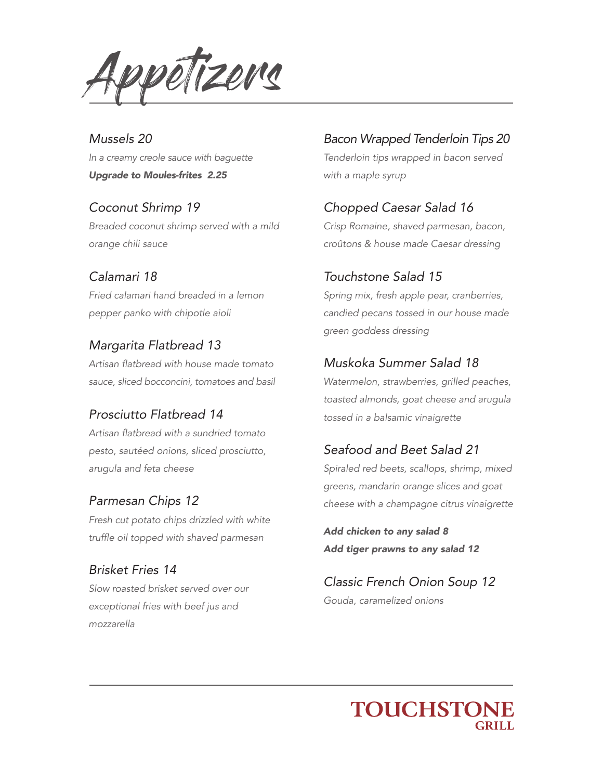Appetizers

*Mussels 20 In a creamy creole sauce with baguette Upgrade to Moules-frites 2.25*

*Coconut Shrimp 19 Breaded coconut shrimp served with a mild orange chili sauce*

#### *Calamari 18*

*Fried calamari hand breaded in a lemon pepper panko with chipotle aioli*

#### *Margarita Flatbread 13*

Artisan flatbread with house made tomato *sauce, sliced bocconcini, tomatoes and basil*

#### *Prosciutto Flatbread 14*

Artisan flatbread with a sundried tomato *pesto, sautéed onions, sliced prosciutto, arugula and feta cheese*

#### *Parmesan Chips 12*

*Fresh cut potato chips drizzled with white*  truffle oil topped with shaved parmesan

*Brisket Fries 14 Slow roasted brisket served over our exceptional fries with beef jus and mozzarella*

#### *Bacon Wrapped Tenderloin Tips 20*

*Tenderloin tips wrapped in bacon served with a maple syrup* 

#### *Chopped Caesar Salad 16*

*Crisp Romaine, shaved parmesan, bacon, croûtons & house made Caesar dressing*

#### *Touchstone Salad 15*

*Spring mix, fresh apple pear, cranberries, candied pecans tossed in our house made green goddess dressing*

#### *Muskoka Summer Salad 18*

*Watermelon, strawberries, grilled peaches, toasted almonds, goat cheese and arugula tossed in a balsamic vinaigrette*

#### *Seafood and Beet Salad 21*

*Spiraled red beets, scallops, shrimp, mixed greens, mandarin orange slices and goat cheese with a champagne citrus vinaigrette*

*Add chicken to any salad 8 Add tiger prawns to any salad 12*

*Classic French Onion Soup 12 Gouda, caramelized onions*

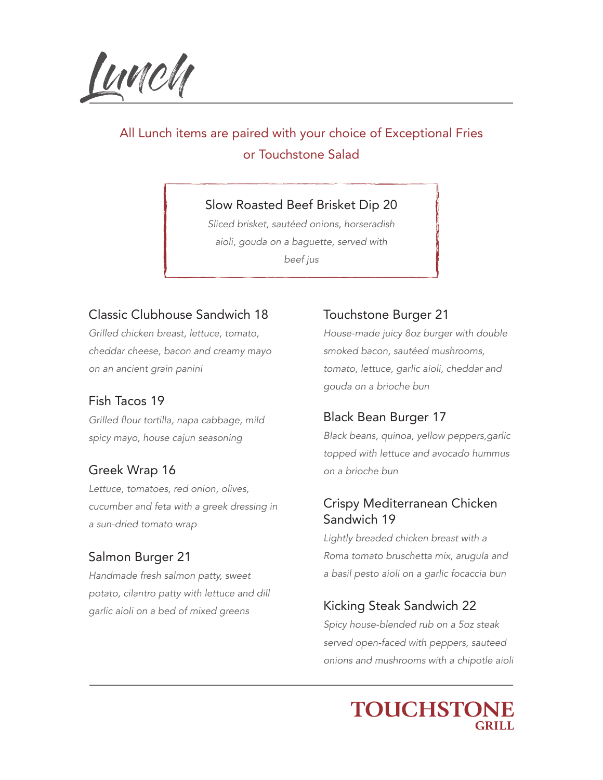Lunch

# All Lunch items are paired with your choice of Exceptional Fries or Touchstone Salad

# Slow Roasted Beef Brisket Dip 20

*Sliced brisket, sautéed onions, horseradish aioli, gouda on a baguette, served with beef jus*

#### Classic Clubhouse Sandwich 18

*Grilled chicken breast, lettuce, tomato, cheddar cheese, bacon and creamy mayo on an ancient grain panini*

#### Fish Tacos 19

Grilled flour tortilla, napa cabbage, mild *spicy mayo, house cajun seasoning*

#### Greek Wrap 16

*Lettuce, tomatoes, red onion, olives, cucumber and feta with a greek dressing in a sun-dried tomato wrap*

# Salmon Burger 21

*Handmade fresh salmon patty, sweet potato, cilantro patty with lettuce and dill garlic aioli on a bed of mixed greens*

#### Touchstone Burger 21

*House-made juicy 8oz burger with double smoked bacon, sautéed mushrooms, tomato, lettuce, garlic aioli, cheddar and gouda on a brioche bun*

#### Black Bean Burger 17

*Black beans, quinoa, yellow peppers,garlic topped with lettuce and avocado hummus on a brioche bun*

#### Crispy Mediterranean Chicken Sandwich 19

*Lightly breaded chicken breast with a Roma tomato bruschetta mix, arugula and a basil pesto aioli on a garlic focaccia bun* 

# Kicking Steak Sandwich 22

*Spicy house-blended rub on a 5oz steak served open-faced with peppers, sauteed onions and mushrooms with a chipotle aioli*

# **TOUCHSTONE**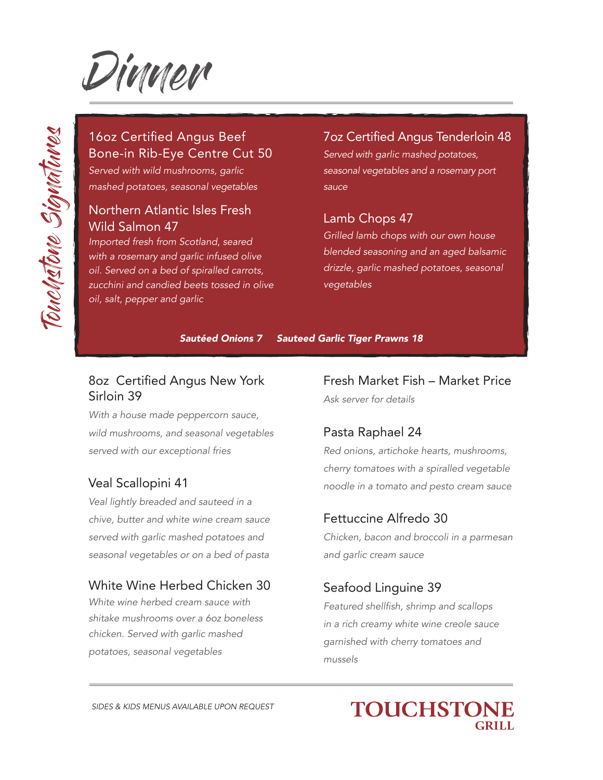

# 16oz Certified Angus Beef Bone-in Rib-Eye Centre Cut 50

*Served with wild mushrooms, garlic mashed potatoes, seasonal vegetables* 

#### Northern Atlantic Isles Fresh Wild Salmon 47

*Imported fresh from Scotland, seared with a rosemary and garlic infused olive oil. Served on a bed of spiralled carrots, zucchini and candied beets tossed in olive oil, salt, pepper and garlic*

#### 7oz Certified Angus Tenderloin 48

*Served with garlic mashed potatoes, seasonal vegetables and a rosemary port sauce*

# Lamb Chops 47

*Grilled lamb chops with our own house blended seasoning and an aged balsamic drizzle, garlic mashed potatoes, seasonal vegetables*

*Sautéed Onions 7 Sauteed Garlic Tiger Prawns 18*

# 8oz Certified Angus New York Sirloin 39

*With a house made peppercorn sauce, wild mushrooms, and seasonal vegetables served with our exceptional fries*

# Veal Scallopini 41

*Veal lightly breaded and sauteed in a chive, butter and white wine cream sauce served with garlic mashed potatoes and seasonal vegetables or on a bed of pasta* 

#### White Wine Herbed Chicken 30

*White wine herbed cream sauce with shitake mushrooms over a 6oz boneless chicken. Served with garlic mashed potatoes, seasonal vegetables*

Fresh Market Fish – Market Price *Ask server for details*

# Pasta Raphael 24

*Red onions, artichoke hearts, mushrooms, cherry tomatoes with a spiralled vegetable noodle in a tomato and pesto cream sauce*

#### Fettuccine Alfredo 30

*Chicken, bacon and broccoli in a parmesan and garlic cream sauce*

# Seafood Linguine 39

Featured shellfish, shrimp and scallops *in a rich creamy white wine creole sauce garnished with cherry tomatoes and mussels*

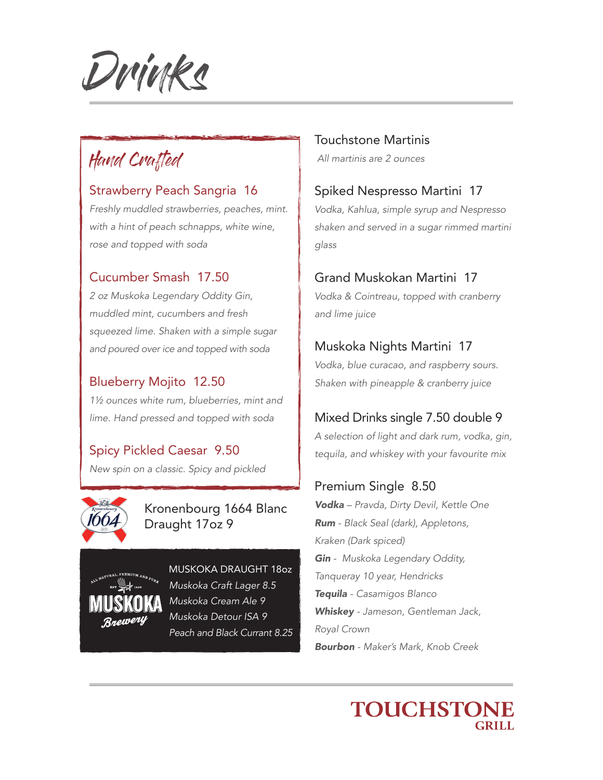Drinks

# Hand Crafted

#### Strawberry Peach Sangria 16

*Freshly muddled strawberries, peaches, mint. with a hint of peach schnapps, white wine, rose and topped with soda*

#### Cucumber Smash 17.50

*2 oz Muskoka Legendary Oddity Gin, muddled mint, cucumbers and fresh squeezed lime. Shaken with a simple sugar and poured over ice and topped with soda*

#### Blueberry Mojito 12.50

*1½ ounces white rum, blueberries, mint and lime. Hand pressed and topped with soda*

# Spicy Pickled Caesar 9.50

*New spin on a classic. Spicy and pickled*



#### Kronenbourg 1664 Blanc Draught 17oz 9



MUSKOKA DRAUGHT 18oz *Muskoka Craft Lager 8.5 Muskoka Cream Ale 9 Muskoka Detour ISA 9 Peach and Black Currant 8.25*

Touchstone Martinis  *All martinis are 2 ounces*

#### Spiked Nespresso Martini 17

*Vodka, Kahlua, simple syrup and Nespresso shaken and served in a sugar rimmed martini glass*

#### Grand Muskokan Martini 17

*Vodka & Cointreau, topped with cranberry and lime juice*

#### Muskoka Nights Martini 17

*Vodka, blue curacao, and raspberry sours. Shaken with pineapple & cranberry juice*

# Mixed Drinks single 7.50 double 9

*A selection of light and dark rum, vodka, gin, tequila, and whiskey with your favourite mix*

#### Premium Single 8.50

*Vodka – Pravda, Dirty Devil, Kettle One Rum - Black Seal (dark), Appletons, Kraken (Dark spiced) Gin - Muskoka Legendary Oddity, Tanqueray 10 year, Hendricks Tequila - Casamigos Blanco Whiskey - Jameson, Gentleman Jack, Royal Crown Bourbon - Maker's Mark, Knob Creek*

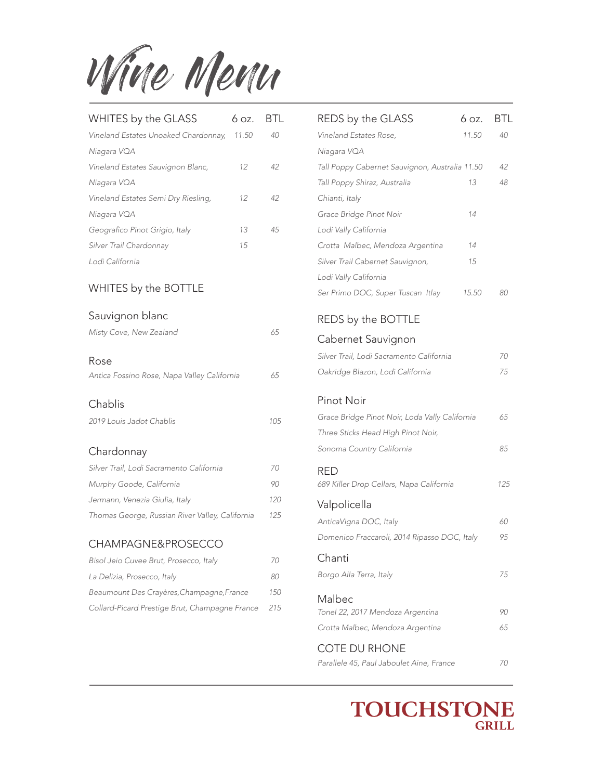Wine Menu

| WHITES by the GLASS                  | 6.07. | BП |
|--------------------------------------|-------|----|
| Vineland Estates Unoaked Chardonnay, | 11.50 | 40 |
| Niagara VQA                          |       |    |
| Vineland Estates Sauvignon Blanc,    | 12    | 42 |
| Niagara VQA                          |       |    |
| Vineland Estates Semi Dry Riesling,  | 12    | 42 |
| Niagara VQA                          |       |    |
| Geografico Pinot Grigio, Italy       | 13    | 45 |
| Silver Trail Chardonnay              | 15    |    |
| Lodi California                      |       |    |

#### WHITES by the BOTTLE

#### Sauvignon blanc

| Misty Cove, New Zealand                             | 65  |
|-----------------------------------------------------|-----|
| Rose<br>Antica Fossino Rose, Napa Valley California | 65  |
| Chablis<br>2019 Louis Jadot Chablis                 | 105 |
| Chardonnay                                          |     |
| Silver Trail, Lodi Sacramento California            | 70  |
| Murphy Goode, California                            | 90  |
| Jermann, Venezia Giulia, Italy                      | 120 |
| Thomas George, Russian River Valley, California     | 125 |

#### CHAMPAGNE&PROSECCO

| Bisol Jeio Cuvee Brut, Prosecco, Italy         | 70  |
|------------------------------------------------|-----|
| La Delizia, Prosecco, Italy                    | 80  |
| Beaumount Des Crayères, Champagne, France      | 150 |
| Collard-Picard Prestige Brut, Champagne France | 215 |

| REDS by the GLASS                              | 6 oz. | BTL |
|------------------------------------------------|-------|-----|
| Vineland Estates Rose,                         | 11.50 | 40  |
| Niagara VQA                                    |       |     |
| Tall Poppy Cabernet Sauvignon, Australia 11.50 |       | 42  |
| Tall Poppy Shiraz, Australia                   | 13    | 48  |
| Chianti, Italy                                 |       |     |
| Grace Bridge Pinot Noir                        | 14    |     |
| Lodi Vally California                          |       |     |
| Crotta Malbec, Mendoza Argentina               | 14    |     |
| Silver Trail Cabernet Sauvignon,               | 15    |     |
| Lodi Vally California                          |       |     |
| Ser Primo DOC, Super Tuscan Itlay              | 15.50 | 80  |
| REDS by the BOTTLE                             |       |     |
| Cabernet Sauvignon                             |       |     |
| Silver Trail, Lodi Sacramento California       |       | 70  |
| Oakridge Blazon, Lodi California               |       | 75  |
| <b>Pinot Noir</b>                              |       |     |
| Grace Bridge Pinot Noir, Loda Vally California |       | 65  |
| Three Sticks Head High Pinot Noir,             |       |     |
| Sonoma Country California                      |       | 85  |
| RED                                            |       |     |
| 689 Killer Drop Cellars, Napa California       |       | 125 |
| Valpolicella                                   |       |     |
| AnticaVigna DOC, Italy                         |       | 60  |
| Domenico Fraccaroli, 2014 Ripasso DOC, Italy   |       | 95  |
| Chanti                                         |       |     |
| Borgo Alla Terra, Italy                        |       | 75  |
| Malbec<br>Tonel 22, 2017 Mendoza Argentina     |       | 90  |
| Crotta Malbec, Mendoza Argentina               |       | 65  |
| <b>COTE DU RHONE</b>                           |       |     |
| Parallele 45, Paul Jaboulet Aine, France       |       | 70  |

**TOUCHSTONE GRILL**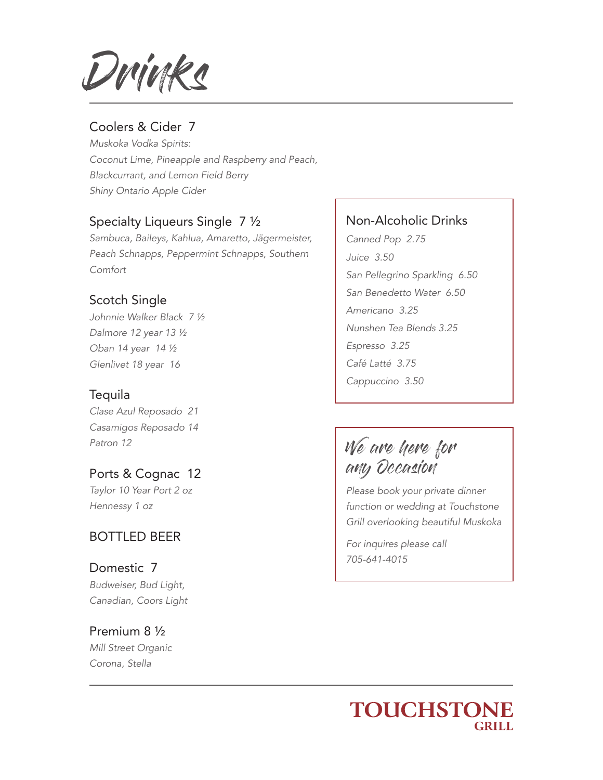Drinks

#### Coolers & Cider 7

*Muskoka Vodka Spirits: Coconut Lime, Pineapple and Raspberry and Peach, Blackcurrant, and Lemon Field Berry Shiny Ontario Apple Cider*

#### Specialty Liqueurs Single 7 ½

*Sambuca, Baileys, Kahlua, Amaretto, Jägermeister, Peach Schnapps, Peppermint Schnapps, Southern Comfort*

#### Scotch Single

*Johnnie Walker Black 7 ½ Dalmore 12 year 13 ½ Oban 14 year 14 ½ Glenlivet 18 year 16*

#### Tequila

*Clase Azul Reposado 21 Casamigos Reposado 14 Patron 12*

Ports & Cognac 12 *Taylor 10 Year Port 2 oz Hennessy 1 oz*

#### BOTTLED BEER

Domestic 7 *Budweiser, Bud Light, Canadian, Coors Light*

# Premium 8 ½ *Mill Street Organic*

*Corona, Stella*

#### Non-Alcoholic Drinks

*Canned Pop 2.75 Juice 3.50 San Pellegrino Sparkling 6.50 San Benedetto Water 6.50 Americano 3.25 Nunshen Tea Blends 3.25 Espresso 3.25 Café Latté 3.75 Cappuccino 3.50*

We are here for any Occasion

*Please book your private dinner function or wedding at Touchstone Grill overlooking beautiful Muskoka*

*For inquires please call 705-641-4015*